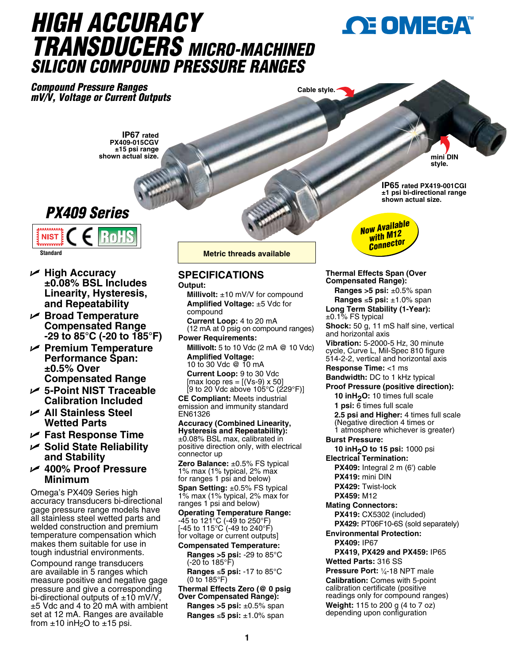# *HIGH ACCURACY TRANSDUCERS MICRO-MACHINED SILICON COMPOUND PRESSURE RANGES*

*Compound Pressure Ranges mV/V, Voltage or Current Outputs*

**Cable style.**

**IP67 rated PX409-015CGV ±15 psi range shown actual size.**





- U **High Accuracy ±0.08% BSL Includes Linearity, Hysteresis, and Repeatability**
- U **Broad Temperature Compensated Range -29 to 85°C (-20 to 185°F)**
- U **Premium Temperature Performance Span: ±0.5% Over Compensated Range**
- U **5-Point NIST Traceable Calibration Included**
- U **All Stainless Steel Wetted Parts**
- U **Fast Response Time**
- U **Solid State Reliability and Stability**
- <sup>U</sup> **400% Proof Pressure Minimum**

Omega's PX409 Series high accuracy transducers bi-directional gage pressure range models have all stainless steel wetted parts and welded construction and premium temperature compensation which makes them suitable for use in tough industrial environments.

Compound range transducers are available in 5 ranges which measure positive and negative gage pressure and give a corresponding bi-directional outputs of  $\pm 10$  mV/V, ±5 Vdc and 4 to 20 mA with ambient set at 12 mA. Ranges are available from  $\pm 10$  in H<sub>2</sub>O to  $\pm 15$  psi.

**Metric threads available**

### **SPECIFICATIONS**

#### **Output:**

**Millivolt:** ±10 mV/V for compound **Amplified Voltage:** ±5 Vdc for compound

**Current Loop:** 4 to 20 mA (12 mA at 0 psig on compound ranges)

**Power Requirements: Millivolt:** 5 to 10 Vdc (2 mA @ 10 Vdc) **Amplified Voltage:**

10 to 30 Vdc @ 10 mA **Current Loop:** 9 to 30 Vdc  $[max$  loop res =  $[(Vs-9) \times 50]$ [9 to 20 Vdc above 105°C (229°F)]

**CE Compliant:** Meets industrial emission and immunity standard EN61326

**Accuracy (Combined Linearity, Hysteresis and Repeatability):** ±0.08% BSL max, calibrated in positive direction only, with electrical connector up

**Zero Balance:** ±0.5% FS typical 1% max (1% typical, 2% max for ranges 1 psi and below)

**Span Setting:** ±0.5% FS typical 1% max (1% typical, 2% max for ranges 1 psi and below)

**Operating Temperature Range:**  $-45$  to 121 $^{\circ}$ C (-49 to 250 $^{\circ}$ F) [-45 to 115°C (-49 to 240°F) for voltage or current outputs]

**Compensated Temperature: Ranges >5 psi:** -29 to 85°C (-20 to 185°F) **Ranges** ≤**5 psi:** -17 to 85°C

(0 to 185°F)

**Thermal Effects Zero (@ 0 psig Over Compensated Range): Ranges >5 psi:** ±0.5% span **Ranges** ≤**5 psi:** ±1.0% span



**IP65 rated PX419-001CGI ±1 psi bi-directional range shown actual size.**

**OE OMEGA** 

**mini DIN style.**

**Thermal Effects Span (Over Compensated Range):**

**Ranges >5 psi:** ±0.5% span **Ranges** ≤**5 psi:** ±1.0% span

**Long Term Stability (1-Year):**  $±0.1\%$  FS typical

**Shock:** 50 g, 11 mS half sine, vertical and horizontal axis

**Vibration:** 5-2000-5 Hz, 30 minute cycle, Curve L, Mil-Spec 810 figure 514-2-2, vertical and horizontal axis

**Response Time:** <1 ms

**Bandwidth:** DC to 1 kHz typical

**Proof Pressure (positive direction): 10 inH<sub>2</sub>O:** 10 times full scale **1 psi:** 6 times full scale **2.5 psi and Higher:** 4 times full scale

(Negative direction 4 times or 1 atmosphere whichever is greater)

**Burst Pressure:**

**10 inH2O to 15 psi:** 1000 psi **Electrical Termination:** 

**PX409:** Integral 2 m (6') cable **PX419:** mini DIN

**PX429:** Twist-lock **PX459:** M12

**Mating Connectors:**

**PX419:** CX5302 (included) **PX429:** PT06F10-6S (sold separately)

**Environmental Protection:**

**PX409:** IP67

**PX419, PX429 and PX459:** IP65 **Wetted Parts:** 316 SS

**Pressure Port:** 1⁄4-18 NPT male **Calibration:** Comes with 5-point calibration certificate (positive readings only for compound ranges) **Weight:** 115 to 200 g (4 to 7 oz) depending upon configuration